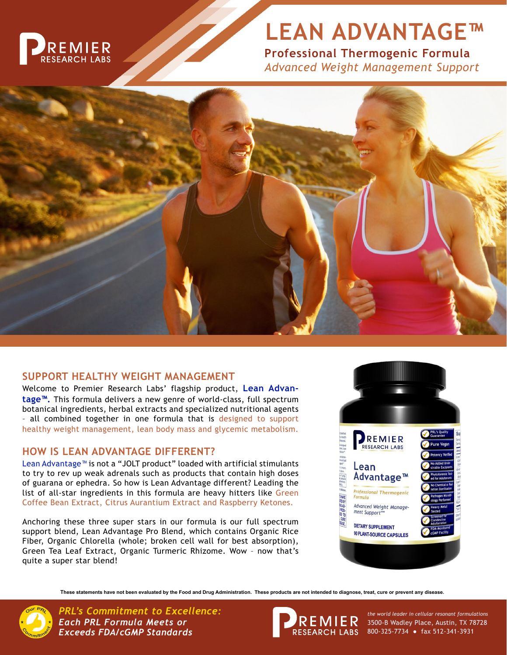

# **LEAN ADVANTAGE™**

**Professional Thermogenic Formula** *Advanced Weight Management Support*



# **SUPPORT HEALTHY WEIGHT MANAGEMENT**

Welcome to Premier Research Labs' flagship product, **Lean Advantage™.** This formula delivers a new genre of world-class, full spectrum botanical ingredients, herbal extracts and specialized nutritional agents - all combined together in one formula that is designed to support healthy weight management, lean body mass and glycemic metabolism.

# **HOW IS LEAN ADVANTAGE DIFFERENT?**

Lean Advantage™ is not a "JOLT product" loaded with artificial stimulants to try to rev up weak adrenals such as products that contain high doses of guarana or ephedra. So how is Lean Advantage different? Leading the list of all-star ingredients in this formula are heavy hitters like Green Coffee Bean Extract, Citrus Aurantium Extract and Raspberry Ketones.

Anchoring these three super stars in our formula is our full spectrum support blend, Lean Advantage Pro Blend, which contains Organic Rice Fiber, Organic Chlorella (whole; broken cell wall for best absorption), Green Tea Leaf Extract, Organic Turmeric Rhizome. Wow – now that's quite a super star blend!



**These statements have not been evaluated by the Food and Drug Administration. These products are not intended to diagnose, treat, cure or prevent any disease.**



*PRL's Commitment to Excellence: the world leader in cellular resonant formulations Each PRL Formula Meets or Exceeds FDA/cGMP Standards*



3500-B Wadley Place, Austin, TX 78728 800-325-7734 ● fax 512-341-3931